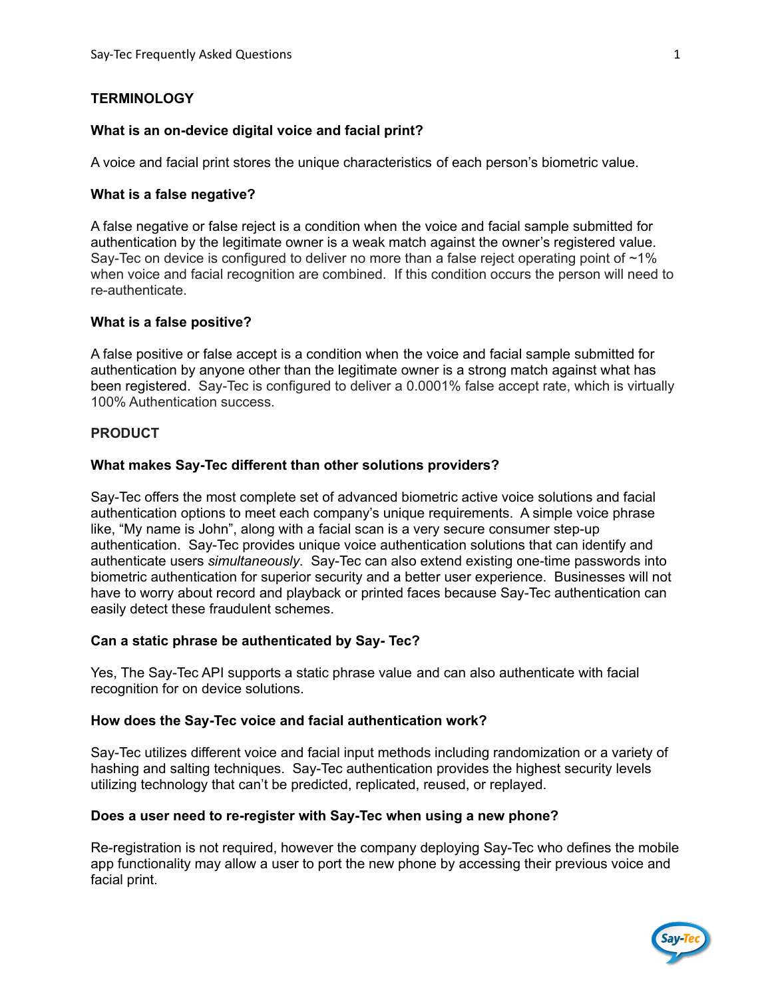# **TERMINOLOGY**

## **What is an on-device digital voice and facial print?**

A voice and facial print stores the unique characteristics of each person's biometric value.

## **What is a false negative?**

A false negative or false reject is a condition when the voice and facial sample submitted for authentication by the legitimate owner is a weak match against the owner's registered value. Say-Tec on device is configured to deliver no more than a false reject operating point of  $\sim$ 1% when voice and facial recognition are combined. If this condition occurs the person will need to re-authenticate.

## **What is a false positive?**

A false positive or false accept is a condition when the voice and facial sample submitted for authentication by anyone other than the legitimate owner is a strong match against what has been registered. Say-Tec is configured to deliver a 0.0001% false accept rate, which is virtually 100% Authentication success.

#### **PRODUCT**

#### **What makes Say-Tec different than other solutions providers?**

Say-Tec offers the most complete set of advanced biometric active voice solutions and facial authentication options to meet each company's unique requirements. A simple voice phrase like, "My name is John", along with a facial scan is a very secure consumer step-up authentication. Say-Tec provides unique voice authentication solutions that can identify and authenticate users *simultaneously*. Say-Tec can also extend existing one-time passwords into biometric authentication for superior security and a better user experience. Businesses will not have to worry about record and playback or printed faces because Say-Tec authentication can easily detect these fraudulent schemes.

#### **Can a static phrase be authenticated by Say- Tec?**

Yes, The Say-Tec API supports a static phrase value and can also authenticate with facial recognition for on device solutions.

#### **How does the Say-Tec voice and facial authentication work?**

Say-Tec utilizes different voice and facial input methods including randomization or a variety of hashing and salting techniques. Say-Tec authentication provides the highest security levels utilizing technology that can't be predicted, replicated, reused, or replayed.

#### **Does a user need to re-register with Say-Tec when using a new phone?**

Re-registration is not required, however the company deploying Say-Tec who defines the mobile app functionality may allow a user to port the new phone by accessing their previous voice and facial print.

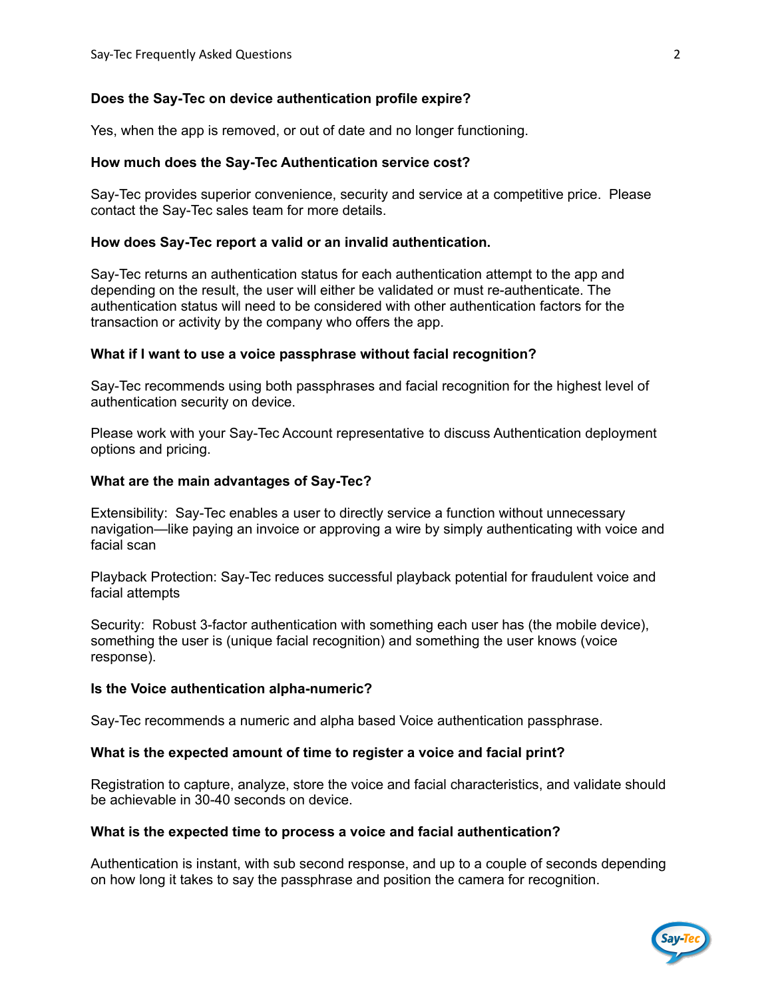## **Does the Say-Tec on device authentication profile expire?**

Yes, when the app is removed, or out of date and no longer functioning.

## **How much does the Say-Tec Authentication service cost?**

Say-Tec provides superior convenience, security and service at a competitive price. Please contact the Say-Tec sales team for more details.

### **How does Say-Tec report a valid or an invalid authentication.**

Say-Tec returns an authentication status for each authentication attempt to the app and depending on the result, the user will either be validated or must re-authenticate. The authentication status will need to be considered with other authentication factors for the transaction or activity by the company who offers the app.

#### **What if I want to use a voice passphrase without facial recognition?**

Say-Tec recommends using both passphrases and facial recognition for the highest level of authentication security on device.

Please work with your Say-Tec Account representative to discuss Authentication deployment options and pricing.

## **What are the main advantages of Say-Tec?**

Extensibility: Say-Tec enables a user to directly service a function without unnecessary navigation—like paying an invoice or approving a wire by simply authenticating with voice and facial scan

Playback Protection: Say-Tec reduces successful playback potential for fraudulent voice and facial attempts

Security: Robust 3-factor authentication with something each user has (the mobile device), something the user is (unique facial recognition) and something the user knows (voice response).

#### **Is the Voice authentication alpha-numeric?**

Say-Tec recommends a numeric and alpha based Voice authentication passphrase.

# **What is the expected amount of time to register a voice and facial print?**

Registration to capture, analyze, store the voice and facial characteristics, and validate should be achievable in 30-40 seconds on device.

#### **What is the expected time to process a voice and facial authentication?**

Authentication is instant, with sub second response, and up to a couple of seconds depending on how long it takes to say the passphrase and position the camera for recognition.

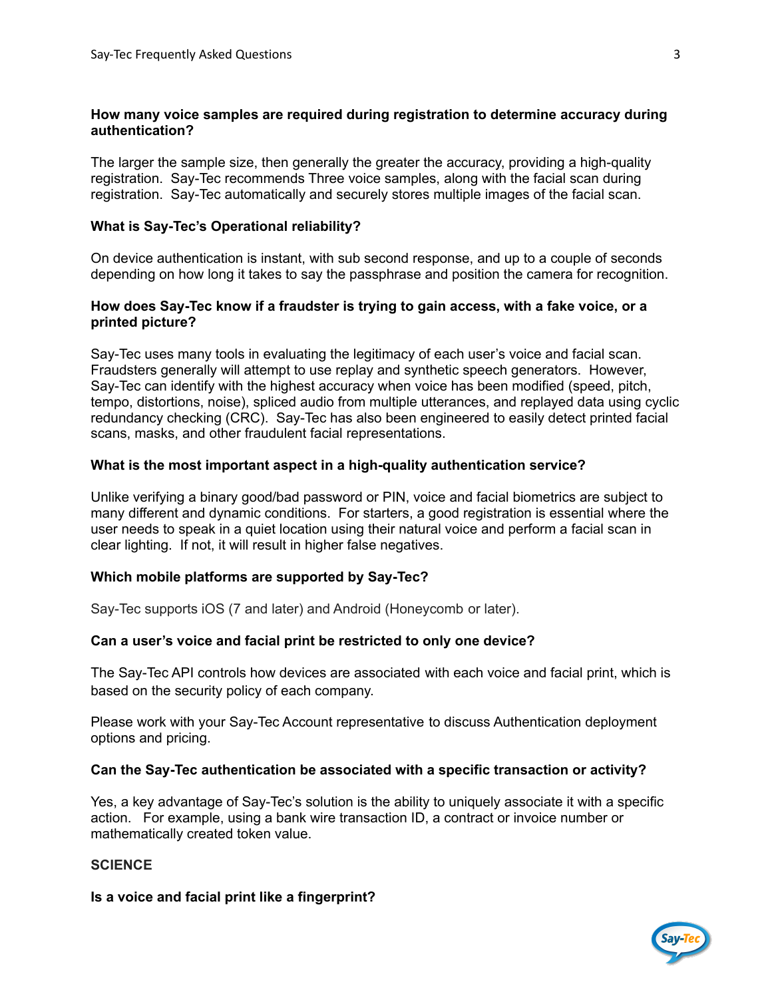## **How many voice samples are required during registration to determine accuracy during authentication?**

The larger the sample size, then generally the greater the accuracy, providing a high-quality registration. Say-Tec recommends Three voice samples, along with the facial scan during registration. Say-Tec automatically and securely stores multiple images of the facial scan.

## **What is Say-Tec's Operational reliability?**

On device authentication is instant, with sub second response, and up to a couple of seconds depending on how long it takes to say the passphrase and position the camera for recognition.

## **How does Say-Tec know if a fraudster is trying to gain access, with a fake voice, or a printed picture?**

Say-Tec uses many tools in evaluating the legitimacy of each user's voice and facial scan. Fraudsters generally will attempt to use replay and synthetic speech generators. However, Say-Tec can identify with the highest accuracy when voice has been modified (speed, pitch, tempo, distortions, noise), spliced audio from multiple utterances, and replayed data using cyclic redundancy checking (CRC). Say-Tec has also been engineered to easily detect printed facial scans, masks, and other fraudulent facial representations.

## **What is the most important aspect in a high-quality authentication service?**

Unlike verifying a binary good/bad password or PIN, voice and facial biometrics are subject to many different and dynamic conditions. For starters, a good registration is essential where the user needs to speak in a quiet location using their natural voice and perform a facial scan in clear lighting. If not, it will result in higher false negatives.

# **Which mobile platforms are supported by Say-Tec?**

Say-Tec supports iOS (7 and later) and Android (Honeycomb or later).

#### **Can a user's voice and facial print be restricted to only one device?**

The Say-Tec API controls how devices are associated with each voice and facial print, which is based on the security policy of each company.

Please work with your Say-Tec Account representative to discuss Authentication deployment options and pricing.

#### **Can the Say-Tec authentication be associated with a specific transaction or activity?**

Yes, a key advantage of Say-Tec's solution is the ability to uniquely associate it with a specific action. For example, using a bank wire transaction ID, a contract or invoice number or mathematically created token value.

# **SCIENCE**

#### **Is a voice and facial print like a fingerprint?**

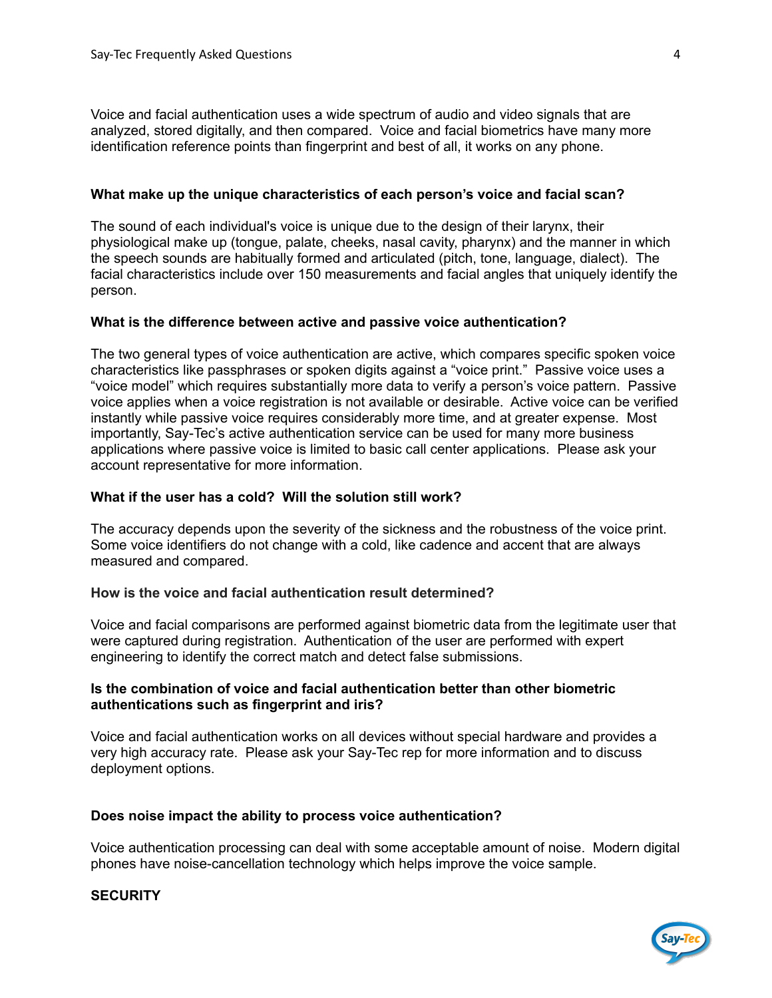Voice and facial authentication uses a wide spectrum of audio and video signals that are analyzed, stored digitally, and then compared. Voice and facial biometrics have many more identification reference points than fingerprint and best of all, it works on any phone.

## **What make up the unique characteristics of each person's voice and facial scan?**

The sound of each individual's voice is unique due to the design of their larynx, their physiological make up (tongue, palate, cheeks, nasal cavity, pharynx) and the manner in which the speech sounds are habitually formed and articulated (pitch, tone, language, dialect). The facial characteristics include over 150 measurements and facial angles that uniquely identify the person.

#### **What is the difference between active and passive voice authentication?**

The two general types of voice authentication are active, which compares specific spoken voice characteristics like passphrases or spoken digits against a "voice print." Passive voice uses a "voice model" which requires substantially more data to verify a person's voice pattern. Passive voice applies when a voice registration is not available or desirable. Active voice can be verified instantly while passive voice requires considerably more time, and at greater expense. Most importantly, Say-Tec's active authentication service can be used for many more business applications where passive voice is limited to basic call center applications. Please ask your account representative for more information.

## **What if the user has a cold? Will the solution still work?**

The accuracy depends upon the severity of the sickness and the robustness of the voice print. Some voice identifiers do not change with a cold, like cadence and accent that are always measured and compared.

#### **How is the voice and facial authentication result determined?**

Voice and facial comparisons are performed against biometric data from the legitimate user that were captured during registration. Authentication of the user are performed with expert engineering to identify the correct match and detect false submissions.

## **Is the combination of voice and facial authentication better than other biometric authentications such as fingerprint and iris?**

Voice and facial [authentication](https://opusresearch.net/wordpress/pdfreports/VoiceBiometricsIntelliview_2017_FINAL_LEADUP_July24.pdf) works on all devices without special hardware and provides a very high accuracy rate. Please ask your Say-Tec rep for more [information](https://opusresearch.net/wordpress/pdfreports/VoiceBiometricsIntelliview_2017_FINAL_LEADUP_July24.pdf) and to discuss [deployment](https://opusresearch.net/wordpress/pdfreports/VoiceBiometricsIntelliview_2017_FINAL_LEADUP_July24.pdf) options.

#### **Does noise impact the ability to process voice authentication?**

Voice authentication processing can deal with some acceptable amount of noise. Modern digital phones have noise-cancellation technology which helps improve the voice sample.

**SECURITY**

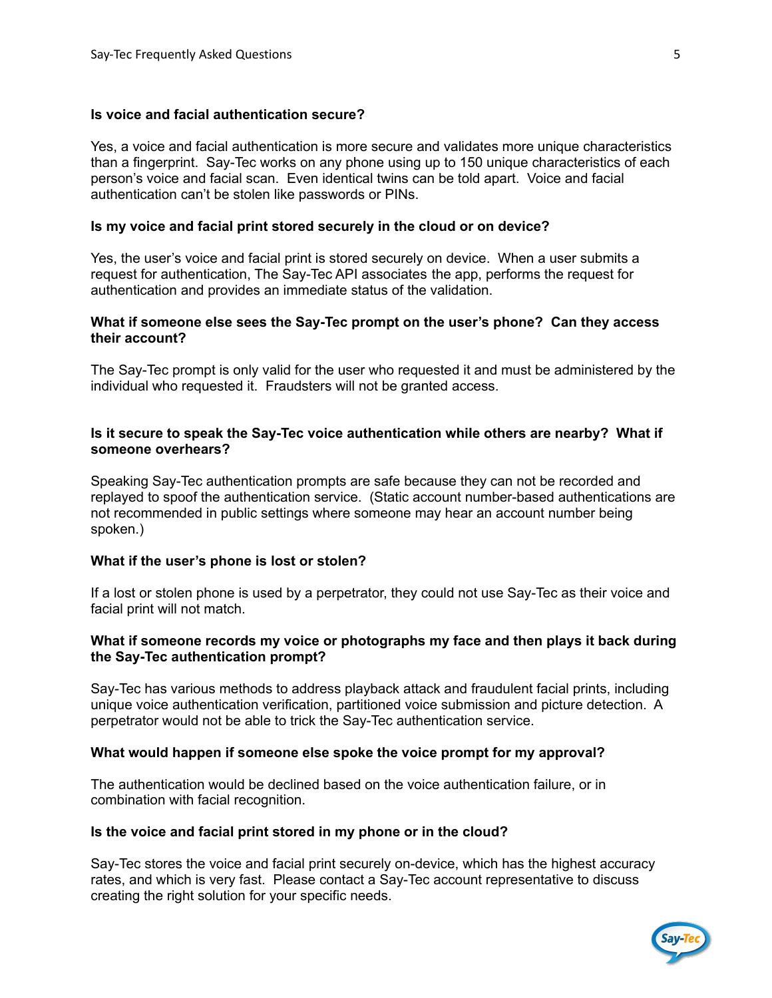#### **Is voice and facial authentication secure?**

Yes, a voice and facial authentication is more secure and validates more unique characteristics than a fingerprint. Say-Tec works on any phone using up to 150 unique characteristics of each person's voice and facial scan. Even identical twins can be told apart. Voice and facial authentication can't be stolen like passwords or PINs.

#### **Is my voice and facial print stored securely in the cloud or on device?**

Yes, the user's voice and facial print is stored securely on device. When a user submits a request for authentication, The Say-Tec API associates the app, performs the request for authentication and provides an immediate status of the validation.

#### **What if someone else sees the Say-Tec prompt on the user's phone? Can they access their account?**

The Say-Tec prompt is only valid for the user who requested it and must be administered by the individual who requested it. Fraudsters will not be granted access.

### **Is it secure to speak the Say-Tec voice authentication while others are nearby? What if someone overhears?**

Speaking Say-Tec authentication prompts are safe because they can not be recorded and replayed to spoof the authentication service. (Static account number-based authentications are not recommended in public settings where someone may hear an account number being spoken.)

#### **What if the user's phone is lost or stolen?**

If a lost or stolen phone is used by a perpetrator, they could not use Say-Tec as their voice and facial print will not match.

### **What if someone records my voice or photographs my face and then plays it back during the Say-Tec authentication prompt?**

Say-Tec has various methods to address playback attack and fraudulent facial prints, including unique voice authentication verification, partitioned voice submission and picture detection. A perpetrator would not be able to trick the Say-Tec authentication service.

#### **What would happen if someone else spoke the voice prompt for my approval?**

The authentication would be declined based on the voice authentication failure, or in combination with facial recognition.

#### **Is the voice and facial print stored in my phone or in the cloud?**

Say-Tec stores the voice and facial print securely on-device, which has the highest accuracy rates, and which is very fast. Please contact a Say-Tec account representative to discuss creating the right solution for your specific needs.

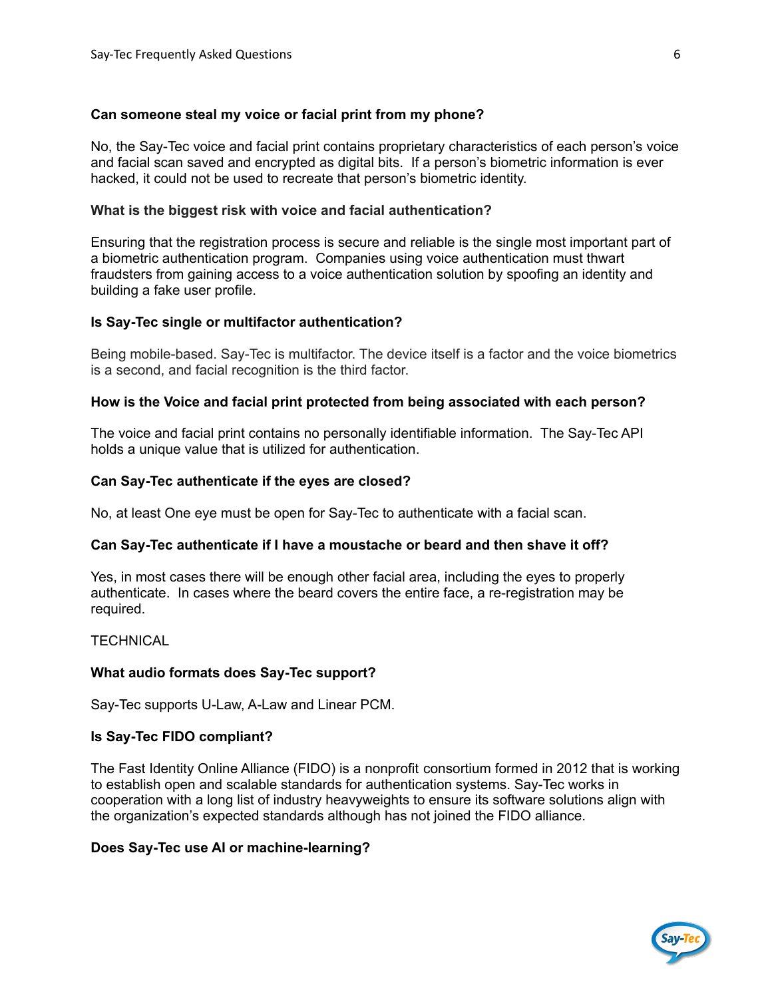## **Can someone steal my voice or facial print from my phone?**

No, the Say-Tec voice and facial print contains proprietary characteristics of each person's voice and facial scan saved and encrypted as digital bits. If a person's biometric information is ever hacked, it could not be used to recreate that person's biometric identity.

## **What is the biggest risk with voice and facial authentication?**

Ensuring that the registration process is secure and reliable is the single most important part of a biometric authentication program. Companies using voice authentication must thwart fraudsters from gaining access to a voice authentication solution by spoofing an identity and building a fake user profile.

## **Is Say-Tec single or multifactor authentication?**

Being mobile-based. Say-Tec is multifactor. The device itself is a factor and the voice biometrics is a second, and facial recognition is the third factor.

## **How is the Voice and facial print protected from being associated with each person?**

The voice and facial print contains no personally identifiable information. The Say-Tec API holds a unique value that is utilized for authentication.

## **Can Say-Tec authenticate if the eyes are closed?**

No, at least One eye must be open for Say-Tec to authenticate with a facial scan.

#### **Can Say-Tec authenticate if I have a moustache or beard and then shave it off?**

Yes, in most cases there will be enough other facial area, including the eyes to properly authenticate. In cases where the beard covers the entire face, a re-registration may be required.

#### **TECHNICAL**

#### **What audio formats does Say-Tec support?**

Say-Tec supports U-Law, A-Law and Linear PCM.

#### **Is Say-Tec FIDO compliant?**

The Fast Identity Online Alliance (FIDO) is a nonprofit consortium formed in 2012 that is working to establish open and scalable standards for authentication systems. Say-Tec works in cooperation with a long list of industry heavyweights to ensure its software solutions align with the organization's expected standards although has not joined the FIDO alliance.

# **Does Say-Tec use AI or machine-learning?**